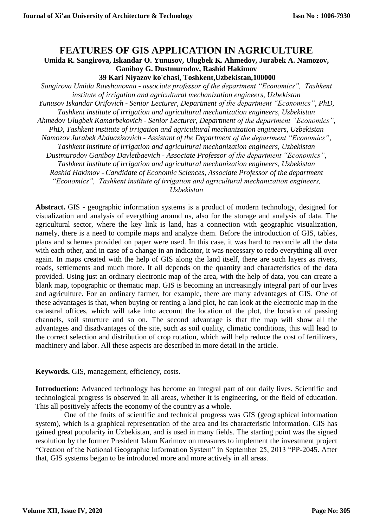## **FEATURES OF GIS APPLICATION IN AGRICULTURE**

**Umida R. Sangirova, Iskandar O. Yunusov, Ulugbek K. Ahmedov, Jurabek A. Namozov, Ganiboy G. Dustmurodov, Rashid Hakimov**

**39 Kari Niyazov ko'chasi, Toshkent,Uzbekistan,100000**

*Sangirova Umida Ravshanovna - associate professor of the department "Economics", Tashkent institute of irrigation and agricultural mechanization engineers, Uzbekistan Yunusov Iskandar Orifovich - Senior Lecturer, Department of the department "Economics", PhD, Tashkent institute of irrigation and agricultural mechanization engineers, Uzbekistan Ahmedov Ulugbek Kamarbekovich - Senior Lecturer, Department of the department "Economics", PhD, Tashkent institute of irrigation and agricultural mechanization engineers, Uzbekistan Namozov Jurabek Abduazizovich - Assistant of the Department of the department "Economics", Tashkent institute of irrigation and agricultural mechanization engineers, Uzbekistan Dustmurodov Ganiboy Davletbaevich - Associate Professor of the department "Economics", Tashkent institute of irrigation and agricultural mechanization engineers, Uzbekistan Rashid Hakimov - Candidate of Economic Sciences, Associate Professor of the department "Economics", Tashkent institute of irrigation and agricultural mechanization engineers, Uzbekistan*

**Abstract.** GIS - geographic information systems is a product of modern technology, designed for visualization and analysis of everything around us, also for the storage and analysis of data. The agricultural sector, where the key link is land, has a connection with geographic visualization, namely, there is a need to compile maps and analyze them. Before the introduction of GIS, tables, plans and schemes provided on paper were used. In this case, it was hard to reconcile all the data with each other, and in case of a change in an indicator, it was necessary to redo everything all over again. In maps created with the help of GIS along the land itself, there are such layers as rivers, roads, settlements and much more. It all depends on the quantity and characteristics of the data provided. Using just an ordinary electronic map of the area, with the help of data, you can create a blank map, topographic or thematic map. GIS is becoming an increasingly integral part of our lives and agriculture. For an ordinary farmer, for example, there are many advantages of GIS. One of these advantages is that, when buying or renting a land plot, he can look at the electronic map in the cadastral offices, which will take into account the location of the plot, the location of passing channels, soil structure and so on. The second advantage is that the map will show all the advantages and disadvantages of the site, such as soil quality, climatic conditions, this will lead to the correct selection and distribution of crop rotation, which will help reduce the cost of fertilizers, machinery and labor. All these aspects are described in more detail in the article.

**Keywords.** GIS, management, efficiency, costs.

**Introduction:** Advanced technology has become an integral part of our daily lives. Scientific and technological progress is observed in all areas, whether it is engineering, or the field of education. This all positively affects the economy of the country as a whole.

One of the fruits of scientific and technical progress was GIS (geographical information system), which is a graphical representation of the area and its characteristic information. GIS has gained great popularity in Uzbekistan, and is used in many fields. The starting point was the signed resolution by the former President Islam Karimov on measures to implement the investment project "Creation of the National Geographic Information System" in September 25, 2013 "PP-2045. After that, GIS systems began to be introduced more and more actively in all areas.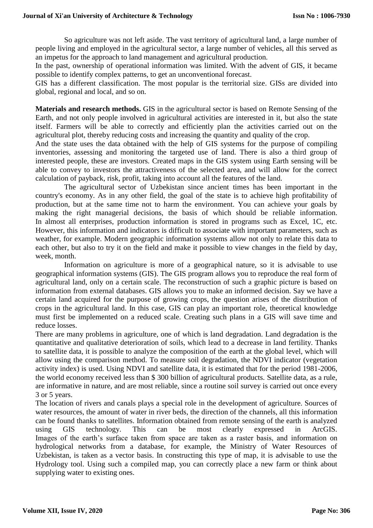So agriculture was not left aside. The vast territory of agricultural land, a large number of people living and employed in the agricultural sector, a large number of vehicles, all this served as an impetus for the approach to land management and agricultural production.

In the past, ownership of operational information was limited. With the advent of GIS, it became possible to identify complex patterns, to get an unconventional forecast.

GIS has a different classification. The most popular is the territorial size. GISs are divided into global, regional and local, and so on.

**Materials and research methods.** GIS in the agricultural sector is based on Remote Sensing of the Earth, and not only people involved in agricultural activities are interested in it, but also the state itself. Farmers will be able to correctly and efficiently plan the activities carried out on the agricultural plot, thereby reducing costs and increasing the quantity and quality of the crop.

And the state uses the data obtained with the help of GIS systems for the purpose of compiling inventories, assessing and monitoring the targeted use of land. There is also a third group of interested people, these are investors. Created maps in the GIS system using Earth sensing will be able to convey to investors the attractiveness of the selected area, and will allow for the correct calculation of payback, risk, profit, taking into account all the features of the land.

The agricultural sector of Uzbekistan since ancient times has been important in the country's economy. As in any other field, the goal of the state is to achieve high profitability of production, but at the same time not to harm the environment. You can achieve your goals by making the right managerial decisions, the basis of which should be reliable information. In almost all enterprises, production information is stored in programs such as Excel, 1C, etc. However, this information and indicators is difficult to associate with important parameters, such as weather, for example. Modern geographic information systems allow not only to relate this data to each other, but also to try it on the field and make it possible to view changes in the field by day, week, month.

Information on agriculture is more of a geographical nature, so it is advisable to use geographical information systems (GIS). The GIS program allows you to reproduce the real form of agricultural land, only on a certain scale. The reconstruction of such a graphic picture is based on information from external databases. GIS allows you to make an informed decision. Say we have a certain land acquired for the purpose of growing crops, the question arises of the distribution of crops in the agricultural land. In this case, GIS can play an important role, theoretical knowledge must first be implemented on a reduced scale. Creating such plans in a GIS will save time and reduce losses.

There are many problems in agriculture, one of which is land degradation. Land degradation is the quantitative and qualitative deterioration of soils, which lead to a decrease in land fertility. Thanks to satellite data, it is possible to analyze the composition of the earth at the global level, which will allow using the comparison method. To measure soil degradation, the NDVI indicator (vegetation activity index) is used. Using NDVI and satellite data, it is estimated that for the period 1981-2006, the world economy received less than \$ 300 billion of agricultural products. Satellite data, as a rule, are informative in nature, and are most reliable, since a routine soil survey is carried out once every 3 or 5 years.

The location of rivers and canals plays a special role in the development of agriculture. Sources of water resources, the amount of water in river beds, the direction of the channels, all this information can be found thanks to satellites. Information obtained from remote sensing of the earth is analyzed using GIS technology. This can be most clearly expressed in ArcGIS. Images of the earth's surface taken from space are taken as a raster basis, and information on hydrological networks from a database, for example, the Ministry of Water Resources of Uzbekistan, is taken as a vector basis. In constructing this type of map, it is advisable to use the Hydrology tool. Using such a compiled map, you can correctly place a new farm or think about supplying water to existing ones.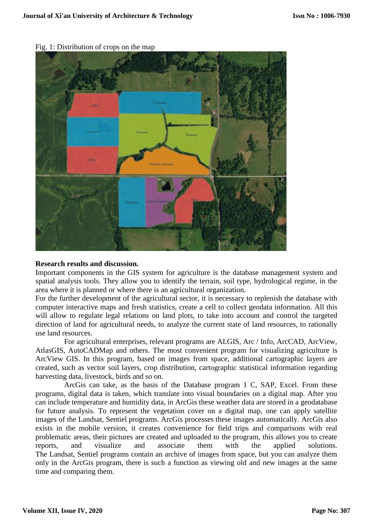

Fig. 1: Distribution of crops on the map

## **Research results and discussion.**

Important components in the GIS system for agriculture is the database management system and spatial analysis tools. They allow you to identify the terrain, soil type, hydrological regime, in the area where it is planned or where there is an agricultural organization.

For the further development of the agricultural sector, it is necessary to replenish the database with computer interactive maps and fresh statistics, create a cell to collect geodata information. All this will allow to regulate legal relations on land plots, to take into account and control the targeted direction of land for agricultural needs, to analyze the current state of land resources, to rationally use land resources.

For agricultural enterprises, relevant programs are ALGIS, Arc / Info, ArcCAD, ArcView, AtlasGIS, AutoCADMap and others. The most convenient program for visualizing agriculture is ArcView GIS. In this program, based on images from space, additional cartographic layers are created, such as vector soil layers, crop distribution, cartographic statistical information regarding harvesting data, livestock, birds and so on.

ArcGis can take, as the basis of the Database program 1 C, SAP, Excel. From these programs, digital data is taken, which translate into visual boundaries on a digital map. After you can include temperature and humidity data, in ArcGis these weather data are stored in a geodatabase for future analysis. To represent the vegetation cover on a digital map, one can apply satellite images of the Landsat, Sentiel programs. ArcGis processes these images automatically. ArcGis also exists in the mobile version, it creates convenience for field trips and comparisons with real problematic areas, their pictures are created and uploaded to the program, this allows you to create reports, and visualize and associate them with the applied solutions. The Landsat, Sentiel programs contain an archive of images from space, but you can analyze them only in the ArcGis program, there is such a function as viewing old and new images at the same time and comparing them.